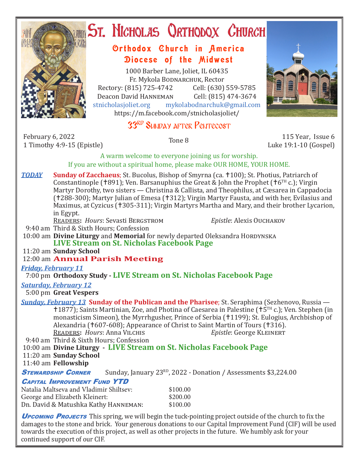

# ST. NICHOLAS QRTHODOX CHURCH

## Orthodox Church in America Diocese of the Midwest

1000 Barber Lane, Joliet, IL 60435 Fr. Mykola Bodnarchuk, Rector Rectory: (815) 725-4742 Cell: (630) 559-5785<br>Deacon David HANNEMAN Cell: (815) 474-3674 Deacon David Hanneman<br>stnicholasioliet.org mykola mykolabodnarchuk@gmail.com https://m.facebook.com/stnicholasjoliet/

# 33RD SUNDAY AFTER PENTECOST

February 6, 2022 1 Timothy 4:9-15 (Epistle) Tone 8 115 Year, Issue 6

Luke 19:1-10 (Gospel)

A warm welcome to everyone joining us for worship. If you are without a spiritual home, please make OUR HOME, YOUR HOME.

**TODAY** Sunday of Zacchaeus; St. Bucolus, Bishop of Smyrna (ca. †100); St. Photius, Patriarch of Constantinople (†891); Ven. Barsanuphius the Great & John the Prophet († $6<sup>TH</sup>$  c.); Virgin Martyr Dorothy, two sisters — Christina & Callista, and Theophilus, at Cæsarea in Cappadocia (†288-300); Martyr Julian of Emesa (†312); Virgin Martyr Fausta, and with her, Evilasius and Maximus, at Cyzicus (†305-311); Virgin Martyrs Martha and Mary, and their brother Lycarion. in Egypt.

Readers**:** *Hours*: Sevasti Bergstrom *Epistle*: Alexis Ouchakov

9:40 am Third & Sixth Hours; Confession

10:00 am **Divine Liturgy** and **Memorial** for newly departed Oleksandra HORDYNSKA **LIVE Stream on St. Nicholas Facebook Page**

11:20 am **Sunday School**

## 12:00 am **Annual Parish Meeting**

*Friday, February 11* 

## 7:00 pm **Orthodoxy Study - LIVE Stream on St. Nicholas Facebook Page**

#### *Saturday, February 12*

5:00 pm **Great Vespers**

*Sunday, February 13* **Sunday of the Publican and the Pharisee**; St. Seraphima (Sezhenovo, Russia —  $1877$ ); Saints Martinian, Zoe, and Photina of Caesarea in Palestine ( $15$ <sup>TH</sup> c.); Ven. Stephen (in monasticism Simeon), the Myrrhgusher, Prince of Serbia (†1199); St. Eulogius, Archbishop of Alexandria (†607-608); Appearance of Christ to Saint Martin of Tours (†316).<br>READERS: Hours: Anna VILCHIS Epistle: George KLEINERT READERS: *Hours*: Anna VILCHIS

9:40 am Third & Sixth Hours; Confession

## 10:00 am **Divine Liturgy - LIVE Stream on St. Nicholas Facebook Page**

11:20 am **Sunday School**

11:40 am **Fellowship**

**STEWARDSHIP CORNER** Sunday, January 23<sup>RD</sup>, 2022 - Donation / Assessments \$3,224.00

## Capital Improvement Fund YTD

| Natalia Maltseva and Vladimir Shiltsev: | \$100.00 |
|-----------------------------------------|----------|
| George and Elizabeth Kleinert:          | \$200.00 |
| Dn. David & Matushka Kathy HANNEMAN:    | \$100.00 |

**UPCOMING PROJECTS** This spring, we will begin the tuck-pointing project outside of the church to fix the damages to the stone and brick. Your generous donations to our Capital Improvement Fund (CIF) will be used towards the execution of this project, as well as other projects in the future. We humbly ask for your continued support of our CIF.